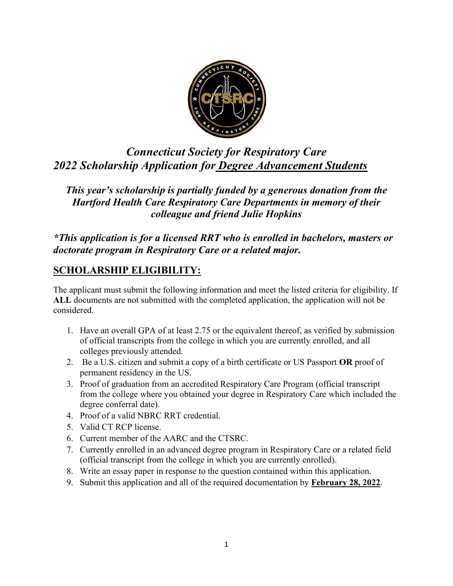

# *Connecticut Society for Respiratory Care 2022 Scholarship Application for Degree Advancement Students*

*This year's scholarship is partially funded by a generous donation from the Hartford Health Care Respiratory Care Departments in memory of their colleague and friend Julie Hopkins*

*\*This application is for a licensed RRT who is enrolled in bachelors, masters or doctorate program in Respiratory Care or a related major.* 

## **SCHOLARSHIP ELIGIBILITY:**

The applicant must submit the following information and meet the listed criteria for eligibility. If **ALL** documents are not submitted with the completed application, the application will not be considered.

- 1. Have an overall GPA of at least 2.75 or the equivalent thereof, as verified by submission of official transcripts from the college in which you are currently enrolled, and all colleges previously attended.
- 2. Be a U.S. citizen and submit a copy of a birth certificate or US Passport **OR** proof of permanent residency in the US.
- 3. Proof of graduation from an accredited Respiratory Care Program (official transcript from the college where you obtained your degree in Respiratory Care which included the degree conferral date).
- 4. Proof of a valid NBRC RRT credential.
- 5. Valid CT RCP license.
- 6. Current member of the AARC and the CTSRC.
- 7. Currently enrolled in an advanced degree program in Respiratory Care or a related field (official transcript from the college in which you are currently enrolled).
- 8. Write an essay paper in response to the question contained within this application.
- 9. Submit this application and all of the required documentation by **February 28, 2022**.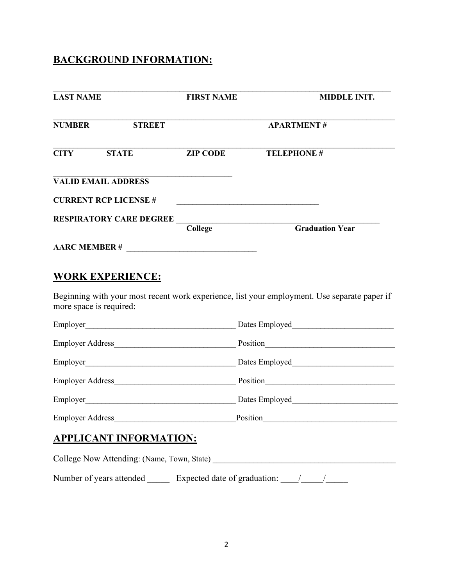## **BACKGROUND INFORMATION:**

| <b>LAST NAME</b>                                                                  | <b>FIRST NAME</b>                  | <b>MIDDLE INIT.</b>                                                                                                                              |  |
|-----------------------------------------------------------------------------------|------------------------------------|--------------------------------------------------------------------------------------------------------------------------------------------------|--|
| <b>NUMBER</b><br><b>STREET</b>                                                    | <b>APARTMENT#</b>                  |                                                                                                                                                  |  |
| <b>STATE</b><br><b>CITY</b>                                                       | <b>ZIP CODE</b>                    | <b>TELEPHONE #</b>                                                                                                                               |  |
| <b>VALID EMAIL ADDRESS</b>                                                        |                                    |                                                                                                                                                  |  |
| <b>CURRENT RCP LICENSE #</b>                                                      |                                    |                                                                                                                                                  |  |
| <b>RESPIRATORY CARE DEGREE</b>                                                    |                                    |                                                                                                                                                  |  |
|                                                                                   |                                    | <b>Graduation Year</b>                                                                                                                           |  |
|                                                                                   |                                    |                                                                                                                                                  |  |
| more space is required:                                                           |                                    | Beginning with your most recent work experience, list your employment. Use separate paper if<br>Dates Employed <b>National Contract Property</b> |  |
|                                                                                   |                                    |                                                                                                                                                  |  |
|                                                                                   |                                    |                                                                                                                                                  |  |
|                                                                                   | Employer Address Position Position |                                                                                                                                                  |  |
|                                                                                   |                                    |                                                                                                                                                  |  |
|                                                                                   |                                    |                                                                                                                                                  |  |
| <b>APPLICANT INFORMATION:</b>                                                     |                                    |                                                                                                                                                  |  |
|                                                                                   |                                    |                                                                                                                                                  |  |
| Number of years attended _________ Expected date of graduation: _________________ |                                    |                                                                                                                                                  |  |